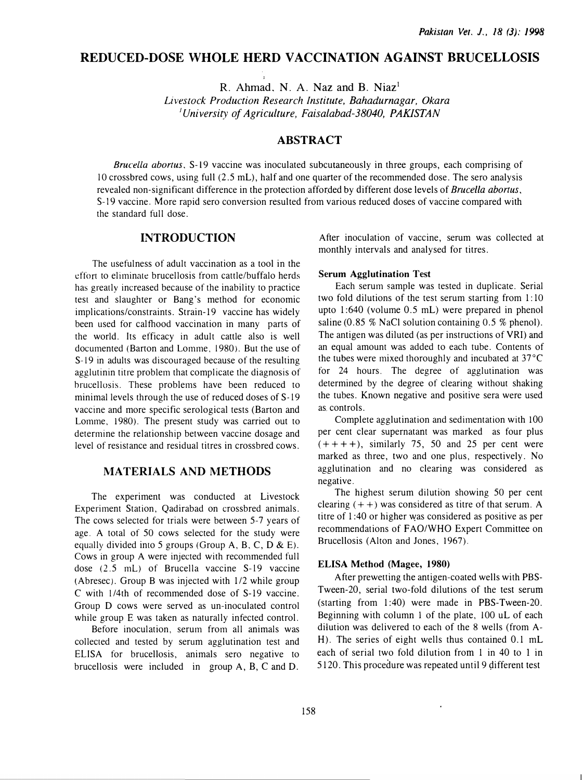# REDUCED-DOSE WHOLE HERD VACCINATION AGAINST BRUCELLOSIS

R. Ahmad. N. A. Naz and B. Niaz<sup>1</sup> Livestock Production Research Institute, Bahadurnagar, Okara  $1$ University of Agriculture, Faisalabad-38040, PAKISTAN

## **ABSTRACT**

Brucella abortus. S-19 vaccine was inoculated subcutaneously in three groups, each comprising of l 0 crossbred cows, using full (2 .5 mL), half and one quarter of the recommended dose. The sero analysis revealed non-significant difference in the protection afforded by different dose levels of Brucella abortus, S-19 vaccine. More rapid sero conversion resulted from various reduced doses of vaccine compared with the standard full dose.

## INTRODUCTION

The usefulness of adult vaccination as a tool in the efforr to eliminate brucellosis from cattle/buffalo herds has greatly increased because of the inability to practice test and slaughter or Bang's method for economic implications/constraints. Strain-19 vaccine has widely been used for calfhood vaccination in many parts of the world. Its efficacy in adult cattle also is well documented (Barton and Lomme. 1980). But the use of S-19 in adults was discouraged because of the resulting agglutinin titre problem that complicate the diagnosis of brucellosis. These problems have been reduced to minimal levels through the use of reduced doses of S-19 vaccine and more specific serological tests (Barton and Lomme, 1980). The present study was carried out to determine the relationship between vaccine dosage and level of resistance and residual titres in crossbred cows.

## MATERIALS AND METHODS

The experiment was conducted at Livestock Experiment Station, Qadirabad on crossbred animals. The cows selected for trials were between 5-7 years of age. A total of 50 cows selected for the study were equally divided into 5 groups (Group A, B, C, D & E). Cows in group A were injected with recommended full dose (2.5 mL) of Brucella vaccine S-19 vaccine (Abresec). Group B was injected with 112 while group C with !14th of recommended dose of S-19 vaccine. Group D cows were served as un-inoculated control while group E was taken as naturally infected control.

Before inoculation, serum from all animals was collected and tested by serum agglutination test and ELISA for brucellosis, animals sero negative to brucellosis were included in group A, B, C and D.

After inoculation of vaccine, serum was collected at monthly intervals and analysed for titres.

#### Serum Agglutination Test

Each serum sample was tested in duplicate. Serial two fold dilutions of the test serum starting from 1: 10 upto 1:640 (volume 0.5 mL) were prepared in phenol saline (0.85 % NaCl solution containing  $0.5$  % phenol). The antigen was diluted (as per instructions of VRI) and an equal amount was added to each tube. Contents of the tubes were mixed thoroughly and incubated at 37°C for 24 hours. The degree of agglutination was determined by the degree of clearing without shaking the tubes. Known negative and positive sera were used as. controls.

Complete agglutination and sedimentation with 100 per cent clear supernatant was marked as four plus  $(+ + + +)$ , similarly 75, 50 and 25 per cent were marked as three, two and one plus, respectively. No agglutination and no clearing was considered as negative.

The highest serum dilution showing 50 per cent clearing  $( + +)$  was considered as titre of that serum. A titre of 1:40 or higher was considered as positive as per recommendations of FAO/WHO Expert Committee on Brucellosis (Alton and Jones, 1967).

### ELISA Method (Magee, 1980)

After prewetting the antigen-coated wells with PBS-Tween-20, serial two-fold dilutions of the test serum (starting from  $1:40$ ) were made in PBS-Tween-20. Beginning with column 1 of the plate, 100 uL of each dilution was delivered to each of the 8 wells (from A-H). The series of eight wells thus contained 0.1 mL each of serial two fold dilution from 1 in 40 to 1 in 5120. This procedure was repeated until 9 different test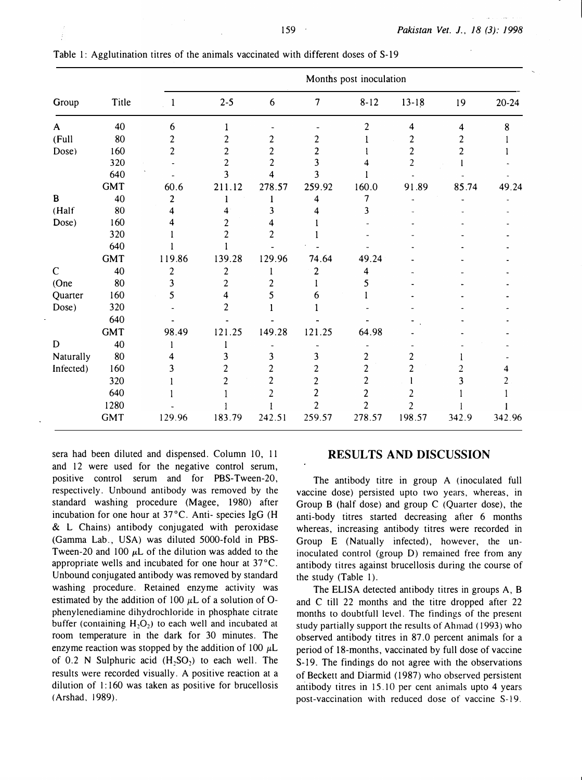| Group        | Title      | Months post inoculation  |                |                |                |                |                |       |           |  |
|--------------|------------|--------------------------|----------------|----------------|----------------|----------------|----------------|-------|-----------|--|
|              |            | $\overline{\phantom{a}}$ | $2 - 5$        | 6              | 7              | $8 - 12$       | $13 - 18$      | 19    | $20 - 24$ |  |
| A            | 40         | 6                        | 1              |                |                | $\overline{2}$ | 4              | 4     | 8         |  |
| (Full        | 80         | $\overline{\mathbf{c}}$  | 2              | 2              | 2              |                | 2              | 2     |           |  |
| Dose)        | 160        | $\overline{c}$           | 2              | $\overline{c}$ | 2              |                | $\overline{c}$ | 2     |           |  |
|              | 320        |                          | 2              | $\overline{c}$ | 3              |                | $\overline{c}$ |       |           |  |
|              | 640        |                          | 3              | 4              | 3              |                |                |       |           |  |
|              | <b>GMT</b> | 60.6                     | 211.12         | 278.57         | 259.92         | 160.0          | 91.89          | 85.74 | 49.24     |  |
| B            | 40         | 2                        | 1              |                | 4              | 7              |                |       |           |  |
| (Half        | 80         | 4                        | 4              | 3              | 4              | 3              |                |       |           |  |
| Dose)        | 160        | 4                        | 2              | 4              |                |                |                |       |           |  |
|              | 320        |                          | $\overline{c}$ | $\overline{c}$ |                |                |                |       |           |  |
|              | 640        |                          |                |                |                |                |                |       |           |  |
|              | <b>GMT</b> | 119.86                   | 139.28         | 129.96         | 74.64          | 49.24          |                |       |           |  |
| $\mathsf{C}$ | 40         | 2                        | $\overline{c}$ |                | 2              | 4              |                |       |           |  |
| (One         | 80         | 3                        | $\overline{c}$ | 2              |                | 5              |                |       |           |  |
| Quarter      | 160        | 5                        | 4              | 5              | 6              |                |                |       |           |  |
| Dose)        | 320        |                          | $\mathbf{2}$   |                |                |                |                |       |           |  |
|              | 640        |                          |                |                |                |                |                |       |           |  |
|              | <b>GMT</b> | 98.49                    | 121.25         | 149.28         | 121.25         | 64.98          |                |       |           |  |
| $\mathbf D$  | 40         |                          |                |                |                |                |                |       |           |  |
| Naturally    | 80         |                          | 3              | 3              | 3              | 2              | 2              |       |           |  |
| Infected)    | 160        | 3                        | 2              | 2              | 2              | $\overline{c}$ | $\overline{c}$ |       |           |  |
|              | 320        |                          | $\overline{c}$ | 2              | $\overline{c}$ | 2              |                | 3     |           |  |
|              | 640        |                          |                |                | $\overline{2}$ | 2              |                |       |           |  |
|              | 1280       |                          |                |                | 2              | $\overline{2}$ | 2              |       |           |  |
|              | <b>GMT</b> | 129.96                   | 183.79         | 242.51         | 259.57         | 278.57         | 198.57         | 342.9 | 342.96    |  |

| Table 1: Agglutination titres of the animals vaccinated with different doses of S-19 |  |  |  |  |
|--------------------------------------------------------------------------------------|--|--|--|--|
|--------------------------------------------------------------------------------------|--|--|--|--|

sera had been diluted and dispensed. Column 10, 11 and 12 were used for the negative control serum, positive control serum and for PBS-Tween-20, respectively. Unbound antibody was removed by the standard washing procedure (Magee, 1980) after incubation for one hour at 37°C. Anti- species lgG (H & L Chains) antibody conjugated with peroxidase (Gamma Lab., USA) was diluted 5000-fold in PBS-Tween-20 and 100  $\mu$ L of the dilution was added to the appropriate wells and incubated for one hour at 37°C. Unbound conjugated antibody was removed by standard washing procedure. Retained enzyme activity was estimated by the addition of 100  $\mu$ L of a solution of Ophenylenediamine dihydrochloride in phosphate citrate buffer (containing  $H_2O_2$ ) to each well and incubated at room temperature in the dark for 30 minutes. The enzyme reaction was stopped by the addition of 100  $\mu$ L of  $0.2$  N Sulphuric acid  $(H<sub>3</sub>SO<sub>2</sub>)$  to each well. The results were recorded visually. A positive reaction at a dilution of  $1:160$  was taken as positive for brucellosis (Arshad, 1989).

### RESULTS AND DISCUSSION

The antibody titre in group A (inoculated full vaccine dose) persisted upto two years, whereas, in Group B (half dose) and group C (Quarter dose), the anti-body titres started decreasing after 6 months whereas, increasing antibody titres were recorded in Group E (Natually infected), however, the uninoculated control (group D) remained free from any antibody titres against brucellosis during the course of the study (Table 1).

The ELISA detected antibody titres in groups A, B and C till 22 months and the titre dropped after 22 months to doubtfull level. The findings of the present study partially support rhe results of Ahmad ( 1993) who observed antibody titres in 87.0 percent animals for a period of 18-months, vaccinated by full dose of vaccine S-19. The findings do not agree with the observations of Beckett and Diarmid ( 1987) who observed persistent antibody titres in 15. 10 per cent animals upto 4 years post-vaccination with reduced dose of vaccine S-19.